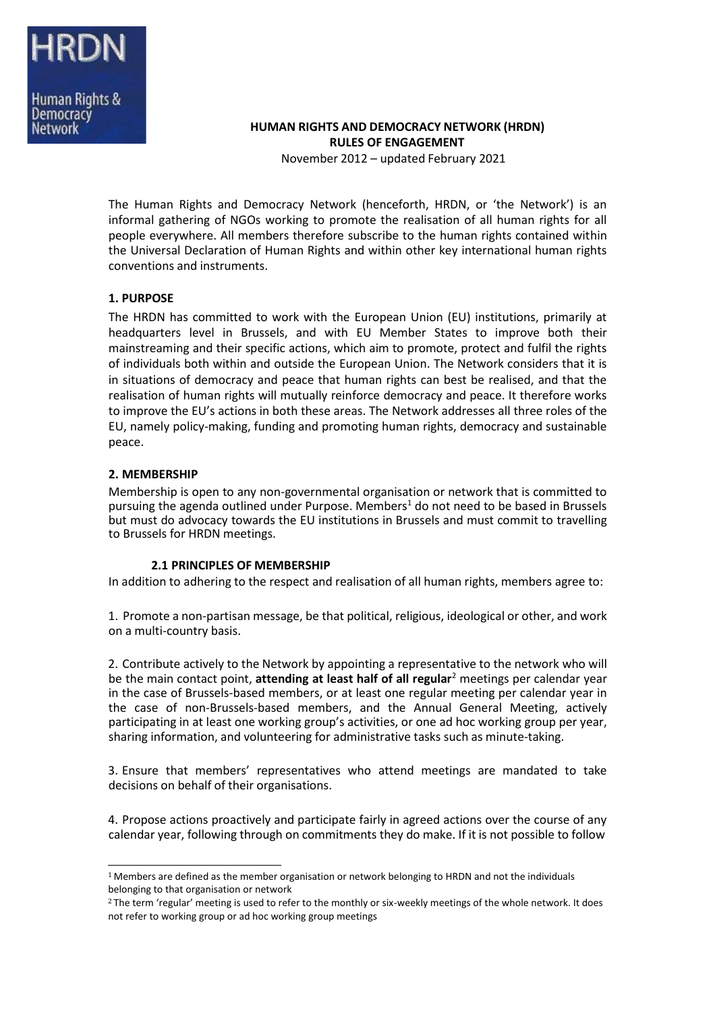

# **HUMAN RIGHTS AND DEMOCRACY NETWORK (HRDN) RULES OF ENGAGEMENT**

November 2012 – updated February 2021

The Human Rights and Democracy Network (henceforth, HRDN, or 'the Network') is an informal gathering of NGOs working to promote the realisation of all human rights for all people everywhere. All members therefore subscribe to the human rights contained within the Universal Declaration of Human Rights and within other key international human rights conventions and instruments.

## **1. PURPOSE**

The HRDN has committed to work with the European Union (EU) institutions, primarily at headquarters level in Brussels, and with EU Member States to improve both their mainstreaming and their specific actions, which aim to promote, protect and fulfil the rights of individuals both within and outside the European Union. The Network considers that it is in situations of democracy and peace that human rights can best be realised, and that the realisation of human rights will mutually reinforce democracy and peace. It therefore works to improve the EU's actions in both these areas. The Network addresses all three roles of the EU, namely policy-making, funding and promoting human rights, democracy and sustainable peace.

## **2. MEMBERSHIP**

Membership is open to any non-governmental organisation or network that is committed to pursuing the agenda outlined under Purpose. Members<sup>1</sup> do not need to be based in Brussels but must do advocacy towards the EU institutions in Brussels and must commit to travelling to Brussels for HRDN meetings.

# **2.1 PRINCIPLES OF MEMBERSHIP**

In addition to adhering to the respect and realisation of all human rights, members agree to:

1. Promote a non-partisan message, be that political, religious, ideological or other, and work on a multi-country basis.

2. Contribute actively to the Network by appointing a representative to the network who will be the main contact point, **attending at least half of all regular**<sup>2</sup> meetings per calendar year in the case of Brussels-based members, or at least one regular meeting per calendar year in the case of non-Brussels-based members, and the Annual General Meeting, actively participating in at least one working group's activities, or one ad hoc working group per year, sharing information, and volunteering for administrative tasks such as minute-taking.

3. Ensure that members' representatives who attend meetings are mandated to take decisions on behalf of their organisations.

4. Propose actions proactively and participate fairly in agreed actions over the course of any calendar year, following through on commitments they do make. If it is not possible to follow

 $1$  Members are defined as the member organisation or network belonging to HRDN and not the individuals belonging to that organisation or network

<sup>&</sup>lt;sup>2</sup>The term 'regular' meeting is used to refer to the monthly or six-weekly meetings of the whole network. It does not refer to working group or ad hoc working group meetings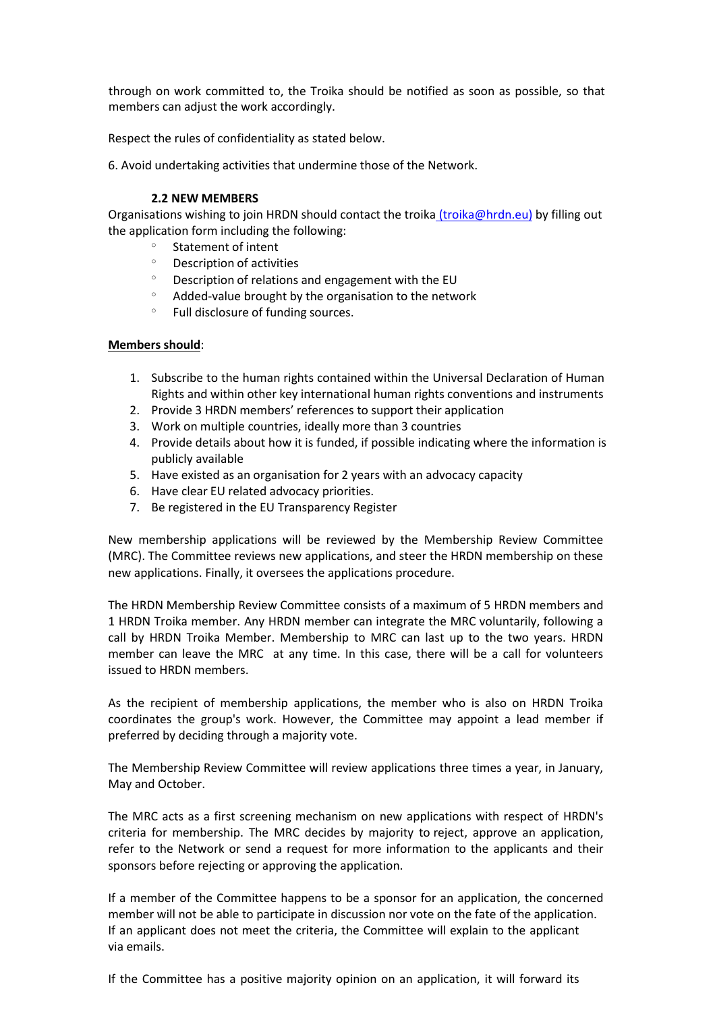through on work committed to, the Troika should be notified as soon as possible, so that members can adjust the work accordingly.

Respect the rules of confidentiality as stated below.

6. Avoid undertaking activities that undermine those of the Network.

## **2.2 NEW MEMBERS**

Organisations wishing to join HRDN should contact the troika [\(troika@hrdn.eu\)](mailto:troika@hrdn.eu) by filling out the application form including the following:

- $\circ$  Statement of intent
- $\circ$  Description of activities
- <sup>o</sup> Description of relations and engagement with the EU
- $\degree$  Added-value brought by the organisation to the network
- <sup>o</sup> Full disclosure of funding sources.

## **Members should**:

- 1. Subscribe to the human rights contained within the Universal Declaration of Human Rights and within other key international human rights conventions and instruments
- 2. Provide 3 HRDN members' references to support their application
- 3. Work on multiple countries, ideally more than 3 countries
- 4. Provide details about how it is funded, if possible indicating where the information is publicly available
- 5. Have existed as an organisation for 2 years with an advocacy capacity
- 6. Have clear EU related advocacy priorities.
- 7. Be registered in the EU Transparency Register

New membership applications will be reviewed by the Membership Review Committee (MRC). The Committee reviews new applications, and steer the HRDN membership on these new applications. Finally, it oversees the applications procedure.

The HRDN Membership Review Committee consists of a maximum of 5 HRDN members and 1 HRDN Troika member. Any HRDN member can integrate the MRC voluntarily, following a call by HRDN Troika Member. Membership to MRC can last up to the two years. HRDN member can leave the MRC at any time. In this case, there will be a call for volunteers issued to HRDN members.

As the recipient of membership applications, the member who is also on HRDN Troika coordinates the group's work. However, the Committee may appoint a lead member if preferred by deciding through a majority vote.

The Membership Review Committee will review applications three times a year, in January, May and October.

The MRC acts as a first screening mechanism on new applications with respect of HRDN's criteria for membership. The MRC decides by majority to reject, approve an application, refer to the Network or send a request for more information to the applicants and their sponsors before rejecting or approving the application.

If a member of the Committee happens to be a sponsor for an application, the concerned member will not be able to participate in discussion nor vote on the fate of the application. If an applicant does not meet the criteria, the Committee will explain to the applicant via emails.

If the Committee has a positive majority opinion on an application, it will forward its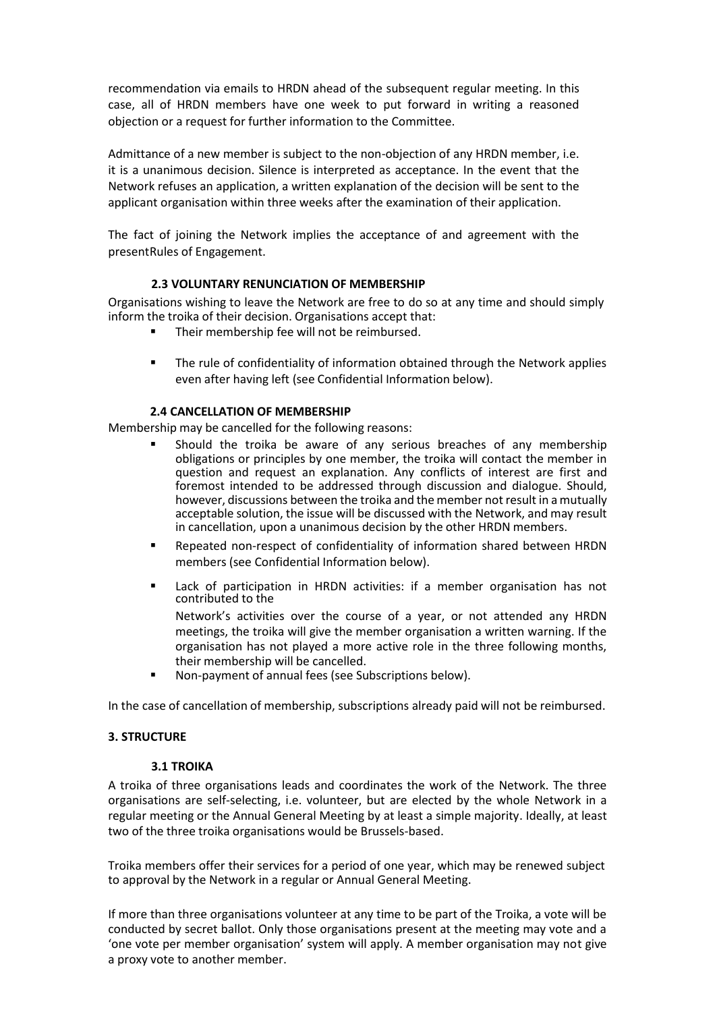recommendation via emails to HRDN ahead of the subsequent regular meeting. In this case, all of HRDN members have one week to put forward in writing a reasoned objection or a request for further information to the Committee.

Admittance of a new member is subject to the non-objection of any HRDN member, i.e. it is a unanimous decision. Silence is interpreted as acceptance. In the event that the Network refuses an application, a written explanation of the decision will be sent to the applicant organisation within three weeks after the examination of their application.

The fact of joining the Network implies the acceptance of and agreement with the presentRules of Engagement.

## **2.3 VOLUNTARY RENUNCIATION OF MEMBERSHIP**

Organisations wishing to leave the Network are free to do so at any time and should simply inform the troika of their decision. Organisations accept that:

- Their membership fee will not be reimbursed.
- **•** The rule of confidentiality of information obtained through the Network applies even after having left (see Confidential Information below).

## **2.4 CANCELLATION OF MEMBERSHIP**

Membership may be cancelled for the following reasons:

- Should the troika be aware of any serious breaches of any membership obligations or principles by one member, the troika will contact the member in question and request an explanation. Any conflicts of interest are first and foremost intended to be addressed through discussion and dialogue. Should, however, discussions between the troika and the member not result in a mutually acceptable solution, the issue will be discussed with the Network, and may result in cancellation, upon a unanimous decision by the other HRDN members.
- Repeated non-respect of confidentiality of information shared between HRDN members (see Confidential Information below).
- Lack of participation in HRDN activities: if a member organisation has not contributed to the

Network's activities over the course of a year, or not attended any HRDN meetings, the troika will give the member organisation a written warning. If the organisation has not played a more active role in the three following months, their membership will be cancelled.

Non-payment of annual fees (see Subscriptions below).

In the case of cancellation of membership, subscriptions already paid will not be reimbursed.

## **3. STRUCTURE**

## **3.1 TROIKA**

A troika of three organisations leads and coordinates the work of the Network. The three organisations are self-selecting, i.e. volunteer, but are elected by the whole Network in a regular meeting or the Annual General Meeting by at least a simple majority. Ideally, at least two of the three troika organisations would be Brussels-based.

Troika members offer their services for a period of one year, which may be renewed subject to approval by the Network in a regular or Annual General Meeting.

If more than three organisations volunteer at any time to be part of the Troika, a vote will be conducted by secret ballot. Only those organisations present at the meeting may vote and a 'one vote per member organisation' system will apply. A member organisation may not give a proxy vote to another member.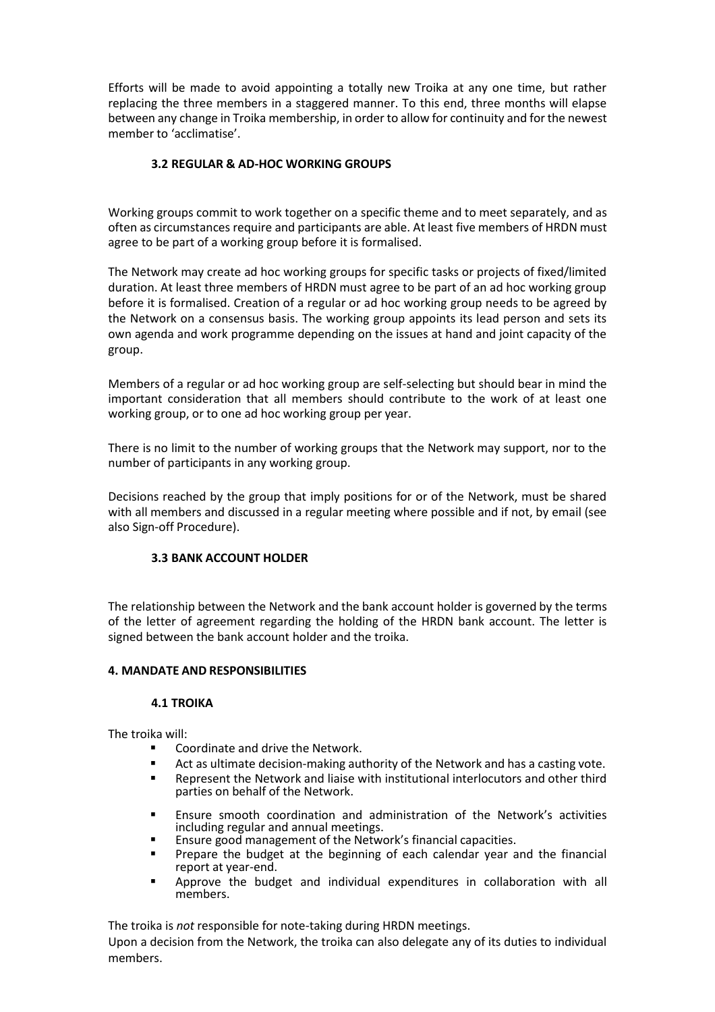Efforts will be made to avoid appointing a totally new Troika at any one time, but rather replacing the three members in a staggered manner. To this end, three months will elapse between any change in Troika membership, in order to allow for continuity and forthe newest member to 'acclimatise'.

# **3.2 REGULAR & AD-HOC WORKING GROUPS**

Working groups commit to work together on a specific theme and to meet separately, and as often as circumstances require and participants are able. At least five members of HRDN must agree to be part of a working group before it is formalised.

The Network may create ad hoc working groups for specific tasks or projects of fixed/limited duration. At least three members of HRDN must agree to be part of an ad hoc working group before it is formalised. Creation of a regular or ad hoc working group needs to be agreed by the Network on a consensus basis. The working group appoints its lead person and sets its own agenda and work programme depending on the issues at hand and joint capacity of the group.

Members of a regular or ad hoc working group are self-selecting but should bear in mind the important consideration that all members should contribute to the work of at least one working group, or to one ad hoc working group per year.

There is no limit to the number of working groups that the Network may support, nor to the number of participants in any working group.

Decisions reached by the group that imply positions for or of the Network, must be shared with all members and discussed in a regular meeting where possible and if not, by email (see also Sign-off Procedure).

## **3.3 BANK ACCOUNT HOLDER**

The relationship between the Network and the bank account holder is governed by the terms of the letter of agreement regarding the holding of the HRDN bank account. The letter is signed between the bank account holder and the troika.

## **4. MANDATE AND RESPONSIBILITIES**

## **4.1 TROIKA**

The troika will:

- Coordinate and drive the Network.
- Act as ultimate decision-making authority of the Network and has a casting vote.
- Represent the Network and liaise with institutional interlocutors and other third parties on behalf of the Network.
- **Ensure smooth coordination and administration of the Network's activities** including regular and annual meetings.
- Ensure good management of the Network's financial capacities.
- Prepare the budget at the beginning of each calendar year and the financial report at year-end.
- Approve the budget and individual expenditures in collaboration with all members.

The troika is *not* responsible for note-taking during HRDN meetings. Upon a decision from the Network, the troika can also delegate any of its duties to individual members.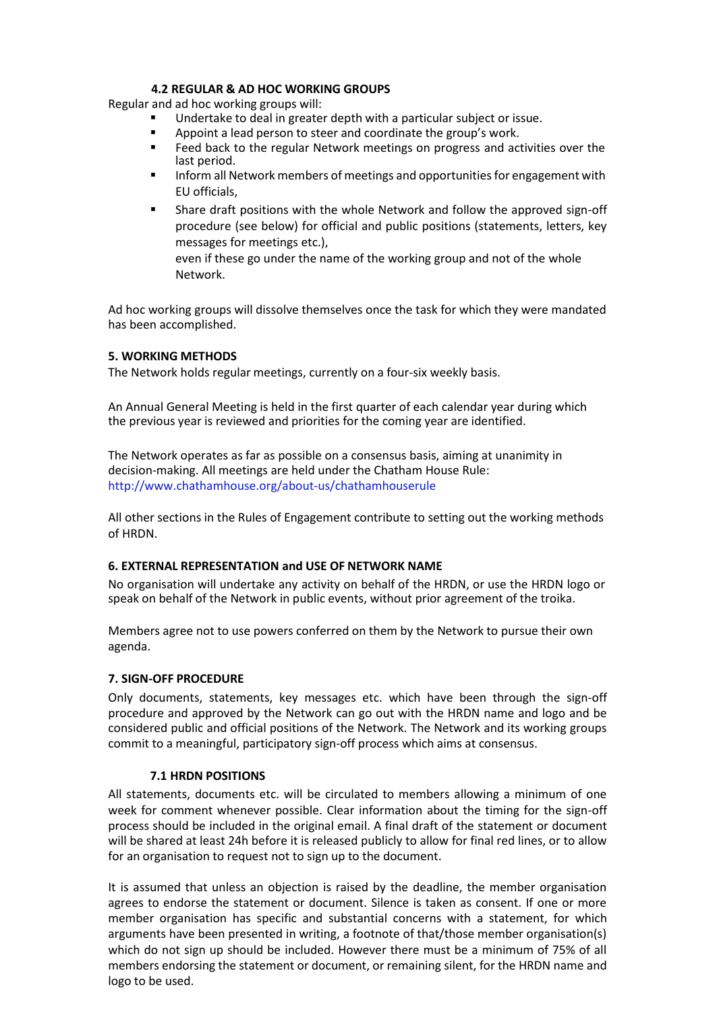## **4.2 REGULAR & AD HOC WORKING GROUPS**

Regular and ad hoc working groups will:

- Undertake to deal in greater depth with a particular subject or issue.
- Appoint a lead person to steer and coordinate the group's work.
- Feed back to the regular Network meetings on progress and activities over the last period.
- Inform all Network members of meetings and opportunities for engagement with EU officials,
- Share draft positions with the whole Network and follow the approved sign-off procedure (see below) for official and public positions (statements, letters, key messages for meetings etc.),

even if these go under the name of the working group and not of the whole Network.

Ad hoc working groups will dissolve themselves once the task for which they were mandated has been accomplished.

## **5. WORKING METHODS**

The Network holds regular meetings, currently on a four-six weekly basis.

An Annual General Meeting is held in the first quarter of each calendar year during which the previous year is reviewed and priorities for the coming year are identified.

The Network operates as far as possible on a consensus basis, aiming at unanimity in decision-making. All meetings are held under the Chatham House Rule: <http://www.chathamhouse.org/about-us/chathamhouserule>

All other sections in the Rules of Engagement contribute to setting out the working methods of HRDN.

## **6. EXTERNAL REPRESENTATION and USE OF NETWORK NAME**

No organisation will undertake any activity on behalf of the HRDN, or use the HRDN logo or speak on behalf of the Network in public events, without prior agreement of the troika.

Members agree not to use powers conferred on them by the Network to pursue their own agenda.

## **7. SIGN-OFF PROCEDURE**

Only documents, statements, key messages etc. which have been through the sign-off procedure and approved by the Network can go out with the HRDN name and logo and be considered public and official positions of the Network. The Network and its working groups commit to a meaningful, participatory sign-off process which aims at consensus.

## **7.1 HRDN POSITIONS**

All statements, documents etc. will be circulated to members allowing a minimum of one week for comment whenever possible. Clear information about the timing for the sign-off process should be included in the original email. A final draft of the statement or document will be shared at least 24h before it is released publicly to allow for final red lines, or to allow for an organisation to request not to sign up to the document.

It is assumed that unless an objection is raised by the deadline, the member organisation agrees to endorse the statement or document. Silence is taken as consent. If one or more member organisation has specific and substantial concerns with a statement, for which arguments have been presented in writing, a footnote of that/those member organisation(s) which do not sign up should be included. However there must be a minimum of 75% of all members endorsing the statement or document, or remaining silent, for the HRDN name and logo to be used.